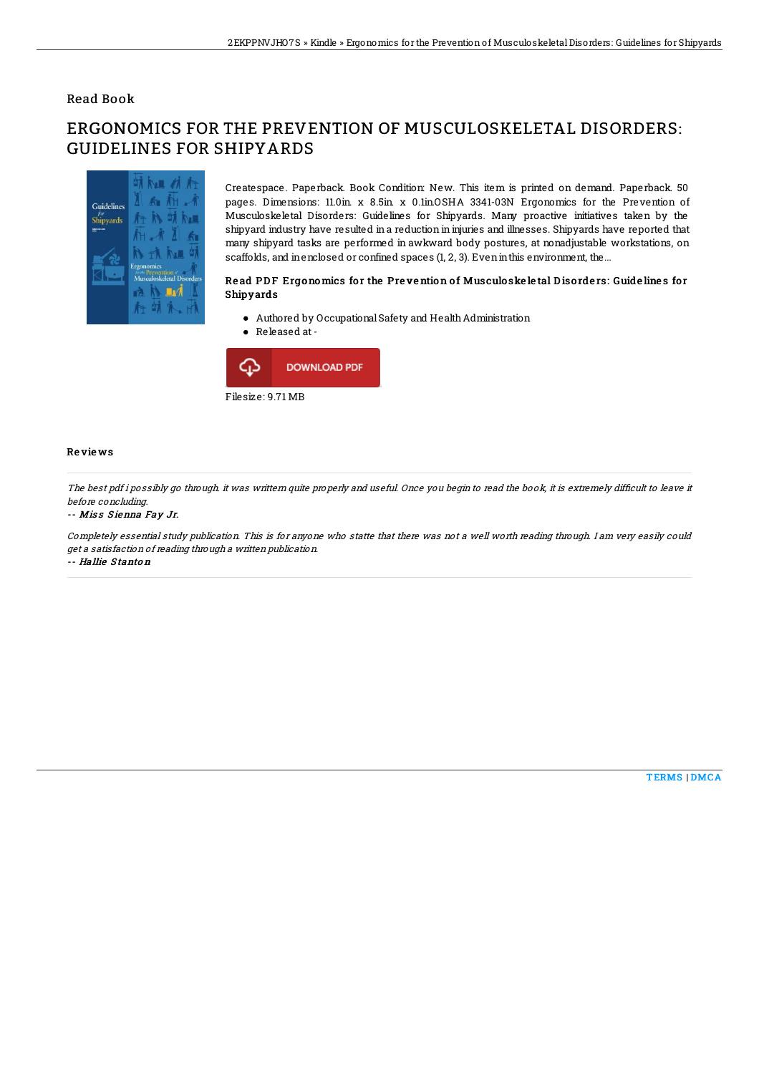## Read Book

# ERGONOMICS FOR THE PREVENTION OF MUSCULOSKELETAL DISORDERS: GUIDELINES FOR SHIPYARDS



Createspace. Paperback. Book Condition: New. This item is printed on demand. Paperback. 50 pages. Dimensions: 11.0in x 8.5in x 0.1inOSHA 3341-03N Ergonomics for the Prevention of Musculoskeletal Disorders: Guidelines for Shipyards. Many proactive initiatives taken by the shipyard industry have resulted in a reduction in injuries and illnesses. Shipyards have reported that many shipyard tasks are performed in awkward body postures, at nonadjustable workstations, on scaffolds, and inenclosed or confined spaces (1, 2, 3). Eveninthis environment, the...

### Read PDF Ergonomics for the Prevention of Musculoske letal Disorders: Guidelines for Shipyards

- Authored by Occupational Safety and Health Administration
- Released at-



### Re vie ws

The best pdf i possibly go through. it was writtern quite properly and useful. Once you begin to read the book, it is extremely difficult to leave it before concluding.

#### -- Miss Sienna Fay Jr.

Completely essential study publication. This is for anyone who statte that there was not <sup>a</sup> well worth reading through. I am very easily could get <sup>a</sup> satisfaction of reading through <sup>a</sup> written publication. -- Hallie S tanto <sup>n</sup>